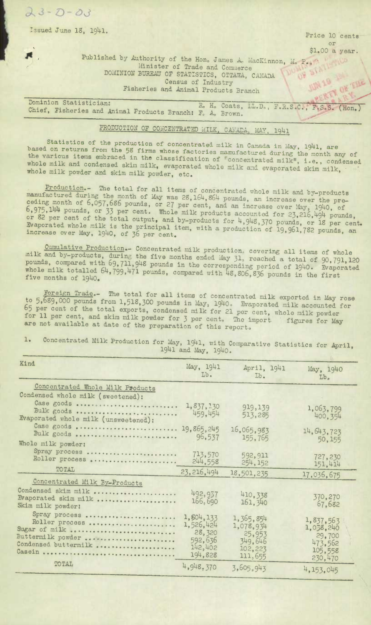Tssued June 18, 19141.

 $23 - 0 - 03$ 

Price 10 cents or \$1.00 a year.

JUN 10

Published by Authority of the Hon. James A. MacKinnon, Minister of Trade and Comzaerce DOMINION BUREAU OF STATISTICS, OTTAWA, CANADA Census of Industry Fisheries and Animal Products Branch *'I* ii,. *P.* 

Dominion Statistician: R. H. Coats, LL.D., F.R.S.C., F.S.S. (Hon.)<br>Chief, Fisheries and Animal Products Branch: F. A. Brown.

PRODUCTION OF CONCENTRATED MILK, CANADA, MAY, 1941

Statistics of the production of concentrated milk in Canada in May, 1941, are based on returns from the 58 firms whose factories manufactured during the month any of the various items embraced in the classification of "concentrated milk", i.e., condensed whole milk and condensed skim milk, evaporated whole milk and evaporated skim milk, whole milk powder and skim milk powder, etc.

**Production** The total for all items of concentrated whole milk and by-products manufactured during the month of May was 28,164,864 pounds, an increase over the pre-<br>ceding month of 6,057,686 pounds, or 27 per cent, and an increase over May, 1940, of<br>6,975,144 pounds, or 33 per cent. Whole milk produ or 82 0,9/5,144 pounds, or 33 per cent. Whole milk products accounted for 23,216,494 pounds,<br>or 82 per cent of the total output, and by-products for 4,948,370 pounds, or 18 per cent.<br>Evaporated whole milk is the principal item,

Cumulative Froduction.- Concentrated milk production, covering all items of whole milk and by-products, during the five months ended May 31, reached a total of 90,791,120<br>pounds, compared with 69,711,948 pounds in the corresponding period of 1940. Evaporated<br>whole milk totalled 64,799,471 pounds, compar

Foreign Trade.- The total for all items of concentrated milk exported in May rose to 5,689,000 pounds from 1,518,300 pounds in May, 1940. Evaporated milk accounted for<br>65 per cent of the total exports, condensed milk for 21 per cent, whole milk powder<br>for 11 per cent, and skim milk powder for 3 per cent

Kind, May, 1941, April, 1941, May, 1940 Lb. Lb. Lb. Concentrated Whole Milk Products Condensed whole milk (sweetened): Casegood.s ........................... Bulkgood.s..0..,,, ..................... 1,537,130 919,139 1,063,79 Evaporated whole milk (unsweetened): 459,454 513,285 400,354 Case goods . .......................... Bulkgoods........................... 19,865,2145 16,065,983 114,6143,723 96,537 155,765 50,155 Whole milk powder: Spray process ........................ Roller 7l3,570 592,911 727,230 process . ...................... 21414,558 2514,152 151,14114 23,216, 494 18,501, 235 17, 036, 675 Concentrated. Milk By-Products Condensed skim milk ..................... Evaporated skim milk ............. 492,937 410,338 370,270<br>166,690 161,340 67,682 Skim milk powder: 166,690 161,340 67,682 Spray process ...................... 11er l,so14,l3 1,365,8514 1,837,563 process ... .................... 1,526,14214 1,075,9314 1,038,2140 Buttermilk powder ........................... 592,636<br>Condensed buttermilk ....................... 142,402 28,320 592,636 25,953 29,700 3149,6116 1473,562 ..........................  $\begin{array}{cccc} 142,402 & 102,223 & 105,558 \\ -194,828 & 111,655 & 230,470 \end{array}$ TOTAL 4,948.370 3,605,943 4,153,045

1. Concentrated Milk Production for May, 1941, with Comparative Statistics for April, 1941 and May, 1940.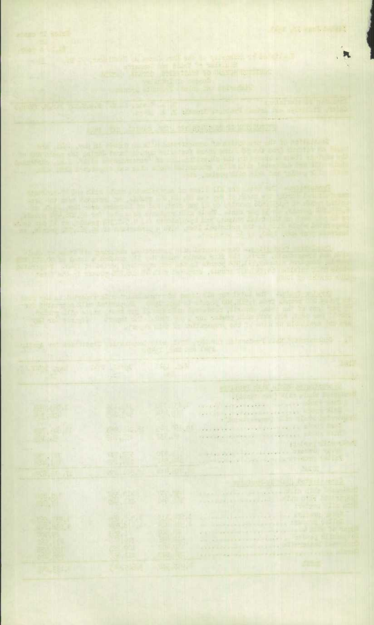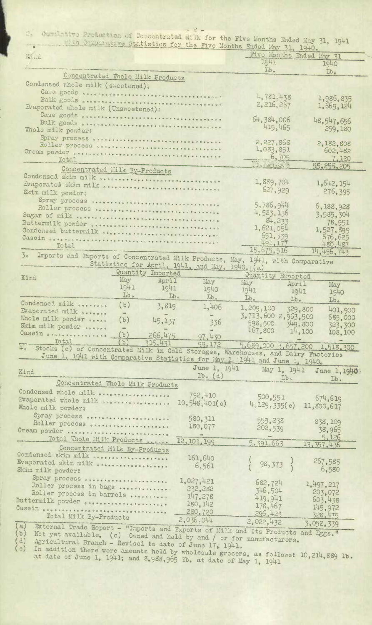| Cumulative Production of Concentrated Milk for the Five Months Ended May 31, 1941<br>the Company wive Statistics for the Five Months Ended May 31, 1940.        |                   |                                                |                                        |                                           |
|-----------------------------------------------------------------------------------------------------------------------------------------------------------------|-------------------|------------------------------------------------|----------------------------------------|-------------------------------------------|
|                                                                                                                                                                 |                   |                                                |                                        |                                           |
| Whad                                                                                                                                                            |                   |                                                | 1941                                   | Five Months Ended May 31                  |
|                                                                                                                                                                 |                   |                                                | Ib.                                    | 1940                                      |
| Concontrated Whole Milk Products                                                                                                                                |                   |                                                |                                        | Ib.                                       |
| Condensed whole milk (sweetened):                                                                                                                               |                   |                                                |                                        |                                           |
| Case goods onooppoorprocesserves                                                                                                                                |                   |                                                | 4,781.438                              |                                           |
| Buik goods overcreecrocorrectorseconocercaces                                                                                                                   |                   |                                                | 2,216,267                              | 1,986,835                                 |
| Evaporated whole milk (Unsweetened):                                                                                                                            |                   |                                                |                                        | 1,669,124                                 |
| Case goods executorizations                                                                                                                                     |                   |                                                | 64, 384, 006                           | 48,547,656                                |
| Whole milk powder!                                                                                                                                              |                   |                                                | 415,465                                | 259,180                                   |
|                                                                                                                                                                 |                   |                                                |                                        |                                           |
| Roller process of or conservation of the process of the conservation of the second                                                                              |                   |                                                | 2,227,863                              | 2,182,808                                 |
|                                                                                                                                                                 |                   |                                                | 1,083,851                              | 602,482                                   |
| Total                                                                                                                                                           |                   |                                                | 6.709                                  | 7,120                                     |
| Concentrated Milk By-Products                                                                                                                                   |                   |                                                | A rio duti lo OCA                      | 55.255,205                                |
| Condensed skim milk or coordences                                                                                                                               |                   |                                                |                                        |                                           |
| Evaporated skim milk                                                                                                                                            |                   |                                                | 1,889,704                              | 1,642, 154                                |
| Skim milk powder?                                                                                                                                               |                   |                                                | 627,929                                | 276, 395                                  |
|                                                                                                                                                                 |                   |                                                | 5,786,944                              |                                           |
| Roller process                                                                                                                                                  |                   |                                                | 4,523,136                              | 5,188,928<br>3,585,304                    |
|                                                                                                                                                                 |                   |                                                | 84,233                                 | 78,951                                    |
| Buttermilk powder                                                                                                                                               |                   |                                                | 1,621.054                              | 1,527,899                                 |
| Condensed buttermilk                                                                                                                                            |                   |                                                | 651, 339                               | 676,625                                   |
| Total                                                                                                                                                           |                   |                                                | 491, 177                               | 480,487                                   |
| $\overline{3}$ $\circ$                                                                                                                                          |                   |                                                | 15, 675, 516                           | 14, 456, 743                              |
| Imports and Exports of Concentrated Milk Products, May, 1941, with Comparative                                                                                  |                   |                                                |                                        |                                           |
|                                                                                                                                                                 | Quantity Imported | Statistics for April, 1941, and May, 1940. (a) |                                        |                                           |
| Kind                                                                                                                                                            | May<br>April      | May                                            | Quantity Exported                      |                                           |
|                                                                                                                                                                 | 1941<br>1941      | 1940                                           | May<br>1941                            | April<br>May                              |
|                                                                                                                                                                 | Lb.<br>Lb.        | Lb <sub>o</sub>                                | Lb <sub>o</sub>                        | 1941<br>1940<br>${\rm \scriptstyle Lb}$ . |
| Condensed milk                                                                                                                                                  | (b)<br>3,819      | 1,406                                          | 1,209,100                              | Lb <sub>n</sub>                           |
| Evaporated milk                                                                                                                                                 |                   |                                                |                                        | 329,800<br>401,900                        |
| Whole milk powder                                                                                                                                               | (b)<br>45,137     | 336                                            | 3,713,600 2,963,500<br>598,500 349,800 | 685,000                                   |
| Skim milk powder                                                                                                                                                |                   |                                                | $167,800$ $14,100$                     | 323,300<br>108,100                        |
| Casein<br>To tal                                                                                                                                                | (Ъ)<br>266.475    | 97,430                                         |                                        |                                           |
| 4.                                                                                                                                                              | (Ъ)<br>315,431    | 99.172                                         | 5,689,000 3,657,200                    | 1,518,300                                 |
| Stocks (c) of Concentrated Milk in Cold Storages, Warehouses, and Dairy Factories<br>June 1, 1941 with Comparative Statistics for May 1, 1941 and June 1, 1940. |                   |                                                |                                        |                                           |
|                                                                                                                                                                 |                   |                                                |                                        |                                           |
| Kind                                                                                                                                                            |                   | June 1, 1941<br>Lb. (d)                        | May 1, 1941                            | June 1, 1940:                             |
| Concentrated Whole Milk Products                                                                                                                                |                   |                                                |                                        | Lb.<br>Lb.                                |
| Condensed whole milk                                                                                                                                            |                   |                                                |                                        |                                           |
| Evaporated whole milk processes                                                                                                                                 |                   | 792,410                                        | 500,551                                | 674,619                                   |
| Whole milk powder:                                                                                                                                              |                   | 10,548,401(e)                                  | 4, 129, 335(e)                         | 11,800,617                                |
| Spray process                                                                                                                                                   |                   | 580, 311                                       |                                        |                                           |
| Roller process                                                                                                                                                  |                   | 180,077                                        | 559,238<br>202,539                     | 838,109                                   |
| Cream powder                                                                                                                                                    |                   |                                                |                                        | 38,965                                    |
| Total Whole Milk Products  12, 101, 199                                                                                                                         |                   |                                                | 5,391,663                              | 5,126<br>13, 357, 436                     |
| Concentrated Milk By-Products                                                                                                                                   |                   |                                                |                                        |                                           |
| Condensed skim milk                                                                                                                                             |                   | 161,640                                        |                                        | 267,585                                   |
| Evaporated skim milk<br>Skim milk powder:                                                                                                                       |                   | 6,561                                          | 98,373                                 | 6,580                                     |
| Spray process                                                                                                                                                   |                   |                                                |                                        |                                           |
| Roller process in bags                                                                                                                                          |                   | 1,027,421                                      | 682,724                                | 1,497,217                                 |
| Roller process in barrels                                                                                                                                       |                   | 232,282                                        | 346,504                                | 203,072                                   |
| Buttermilk powder coordinates                                                                                                                                   |                   | 147,278<br>180, 142                            | 419,941                                | 603,438                                   |
| Casein                                                                                                                                                          |                   | 280,720                                        | 178,467                                | 145,972                                   |
| Total Milk By-Products                                                                                                                                          |                   | 2,036,044                                      | 296,423<br>2,022,432                   | 328,475                                   |
| (a)                                                                                                                                                             |                   |                                                |                                        | 3,052,339                                 |
| External Trade Report - "Imports and Exports of Milk and Its Products and Eggs."<br>(b)<br>Not yet available. (c) Owned and held by and / or for manufacturers. |                   |                                                |                                        |                                           |
| (d)<br>Agricultural Branch - Revised to date of June 17. 1941.                                                                                                  |                   |                                                |                                        |                                           |
| e)<br>In addition there were amounts held by wholesale                                                                                                          |                   |                                                |                                        |                                           |

External Trade Report - "Imports and Exports of Milk and Its Products and Eggs."<br>Not yet available. (c) Owned and held by and / or for manufacturers.<br>Agricultural Branch - Revised to date of June 17, 1941.<br>In addition ther